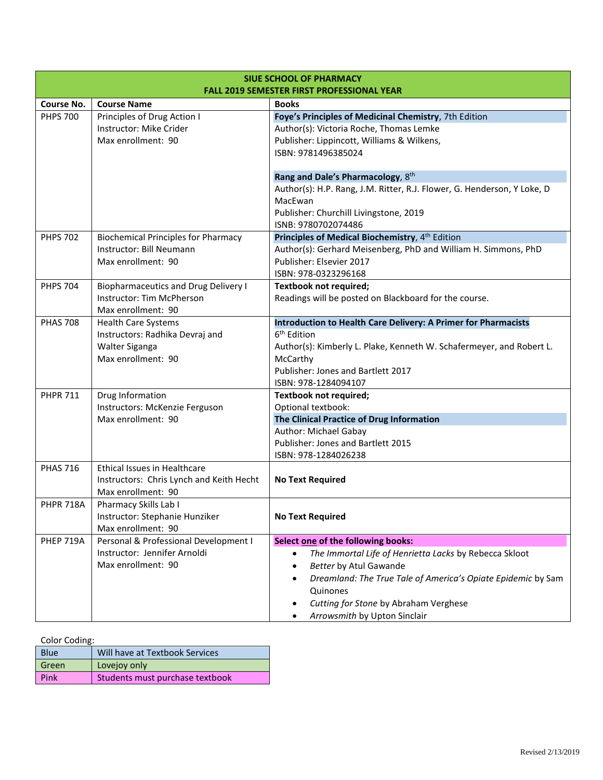| <b>SIUE SCHOOL OF PHARMACY</b><br><b>FALL 2019 SEMESTER FIRST PROFESSIONAL YEAR</b> |                                                         |                                                                                            |  |
|-------------------------------------------------------------------------------------|---------------------------------------------------------|--------------------------------------------------------------------------------------------|--|
|                                                                                     | <b>Course No.</b><br><b>Course Name</b><br><b>Books</b> |                                                                                            |  |
| <b>PHPS 700</b>                                                                     | Principles of Drug Action I                             | Foye's Principles of Medicinal Chemistry, 7th Edition                                      |  |
|                                                                                     | Instructor: Mike Crider                                 | Author(s): Victoria Roche, Thomas Lemke                                                    |  |
|                                                                                     | Max enrollment: 90                                      | Publisher: Lippincott, Williams & Wilkens,                                                 |  |
|                                                                                     |                                                         | ISBN: 9781496385024                                                                        |  |
|                                                                                     |                                                         | Rang and Dale's Pharmacology, 8th                                                          |  |
|                                                                                     |                                                         | Author(s): H.P. Rang, J.M. Ritter, R.J. Flower, G. Henderson, Y Loke, D                    |  |
|                                                                                     |                                                         | MacEwan                                                                                    |  |
|                                                                                     |                                                         | Publisher: Churchill Livingstone, 2019                                                     |  |
|                                                                                     |                                                         | ISNB: 9780702074486                                                                        |  |
| <b>PHPS 702</b>                                                                     | <b>Biochemical Principles for Pharmacy</b>              | Principles of Medical Biochemistry, 4 <sup>th</sup> Edition                                |  |
|                                                                                     | Instructor: Bill Neumann<br>Max enrollment: 90          | Author(s): Gerhard Meisenberg, PhD and William H. Simmons, PhD<br>Publisher: Elsevier 2017 |  |
|                                                                                     |                                                         | ISBN: 978-0323296168                                                                       |  |
| <b>PHPS 704</b>                                                                     | <b>Biopharmaceutics and Drug Delivery I</b>             | <b>Textbook not required;</b>                                                              |  |
|                                                                                     | Instructor: Tim McPherson                               | Readings will be posted on Blackboard for the course.                                      |  |
|                                                                                     | Max enrollment: 90                                      |                                                                                            |  |
| <b>PHAS 708</b>                                                                     | <b>Health Care Systems</b>                              | Introduction to Health Care Delivery: A Primer for Pharmacists                             |  |
|                                                                                     | Instructors: Radhika Devraj and                         | 6 <sup>th</sup> Edition                                                                    |  |
|                                                                                     | Walter Siganga                                          | Author(s): Kimberly L. Plake, Kenneth W. Schafermeyer, and Robert L.                       |  |
|                                                                                     | Max enrollment: 90                                      | McCarthy                                                                                   |  |
|                                                                                     |                                                         | Publisher: Jones and Bartlett 2017                                                         |  |
|                                                                                     |                                                         | ISBN: 978-1284094107                                                                       |  |
| <b>PHPR 711</b>                                                                     | Drug Information                                        | Textbook not required;                                                                     |  |
|                                                                                     | Instructors: McKenzie Ferguson                          | Optional textbook:                                                                         |  |
|                                                                                     | Max enrollment: 90                                      | The Clinical Practice of Drug Information                                                  |  |
|                                                                                     |                                                         | Author: Michael Gabay<br>Publisher: Jones and Bartlett 2015                                |  |
|                                                                                     |                                                         | ISBN: 978-1284026238                                                                       |  |
| <b>PHAS 716</b>                                                                     | Ethical Issues in Healthcare                            |                                                                                            |  |
|                                                                                     | Instructors: Chris Lynch and Keith Hecht                | <b>No Text Required</b>                                                                    |  |
|                                                                                     | Max enrollment: 90                                      |                                                                                            |  |
| <b>PHPR 718A</b>                                                                    | Pharmacy Skills Lab I                                   |                                                                                            |  |
|                                                                                     | Instructor: Stephanie Hunziker                          | <b>No Text Required</b>                                                                    |  |
|                                                                                     | Max enrollment: 90                                      |                                                                                            |  |
| PHEP 719A                                                                           | Personal & Professional Development I                   | Select one of the following books:                                                         |  |
|                                                                                     | Instructor: Jennifer Arnoldi                            | The Immortal Life of Henrietta Lacks by Rebecca Skloot<br>$\bullet$                        |  |
|                                                                                     | Max enrollment: 90                                      | <b>Better by Atul Gawande</b>                                                              |  |
|                                                                                     |                                                         | Dreamland: The True Tale of America's Opiate Epidemic by Sam                               |  |
|                                                                                     |                                                         | Quinones                                                                                   |  |
|                                                                                     |                                                         | Cutting for Stone by Abraham Verghese                                                      |  |
|                                                                                     |                                                         | Arrowsmith by Upton Sinclair                                                               |  |

| Color Coding: |
|---------------|
|               |

| Blue        | Will have at Textbook Services  |
|-------------|---------------------------------|
| Green       | Lovejoy only                    |
| <b>Pink</b> | Students must purchase textbook |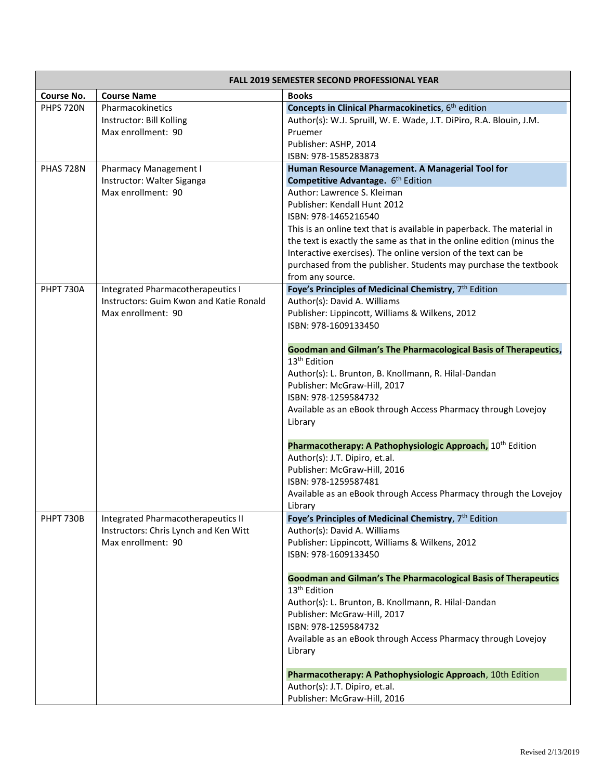| <b>FALL 2019 SEMESTER SECOND PROFESSIONAL YEAR</b> |                                                               |                                                                                                                                                                                                                                                                                                                                                                                                 |
|----------------------------------------------------|---------------------------------------------------------------|-------------------------------------------------------------------------------------------------------------------------------------------------------------------------------------------------------------------------------------------------------------------------------------------------------------------------------------------------------------------------------------------------|
| Course No.                                         | <b>Course Name</b>                                            | <b>Books</b>                                                                                                                                                                                                                                                                                                                                                                                    |
| <b>PHPS 720N</b>                                   | Pharmacokinetics<br>Instructor: Bill Kolling                  | Concepts in Clinical Pharmacokinetics, 6 <sup>th</sup> edition<br>Author(s): W.J. Spruill, W. E. Wade, J.T. DiPiro, R.A. Blouin, J.M.                                                                                                                                                                                                                                                           |
|                                                    | Max enrollment: 90                                            | Pruemer<br>Publisher: ASHP, 2014<br>ISBN: 978-1585283873                                                                                                                                                                                                                                                                                                                                        |
| PHAS 728N                                          | Pharmacy Management I                                         | Human Resource Management. A Managerial Tool for                                                                                                                                                                                                                                                                                                                                                |
|                                                    | Instructor: Walter Siganga                                    | Competitive Advantage. 6th Edition                                                                                                                                                                                                                                                                                                                                                              |
|                                                    | Max enrollment: 90                                            | Author: Lawrence S. Kleiman<br>Publisher: Kendall Hunt 2012<br>ISBN: 978-1465216540<br>This is an online text that is available in paperback. The material in<br>the text is exactly the same as that in the online edition (minus the<br>Interactive exercises). The online version of the text can be<br>purchased from the publisher. Students may purchase the textbook<br>from any source. |
| PHPT 730A                                          | Integrated Pharmacotherapeutics I                             | Foye's Principles of Medicinal Chemistry, 7th Edition                                                                                                                                                                                                                                                                                                                                           |
|                                                    | Instructors: Guim Kwon and Katie Ronald<br>Max enrollment: 90 | Author(s): David A. Williams<br>Publisher: Lippincott, Williams & Wilkens, 2012<br>ISBN: 978-1609133450                                                                                                                                                                                                                                                                                         |
|                                                    |                                                               | Goodman and Gilman's The Pharmacological Basis of Therapeutics,<br>13 <sup>th</sup> Edition                                                                                                                                                                                                                                                                                                     |
|                                                    |                                                               | Author(s): L. Brunton, B. Knollmann, R. Hilal-Dandan                                                                                                                                                                                                                                                                                                                                            |
|                                                    |                                                               | Publisher: McGraw-Hill, 2017                                                                                                                                                                                                                                                                                                                                                                    |
|                                                    |                                                               | ISBN: 978-1259584732                                                                                                                                                                                                                                                                                                                                                                            |
|                                                    |                                                               | Available as an eBook through Access Pharmacy through Lovejoy<br>Library                                                                                                                                                                                                                                                                                                                        |
|                                                    |                                                               | Pharmacotherapy: A Pathophysiologic Approach, 10 <sup>th</sup> Edition<br>Author(s): J.T. Dipiro, et.al.                                                                                                                                                                                                                                                                                        |
|                                                    |                                                               | Publisher: McGraw-Hill, 2016<br>ISBN: 978-1259587481                                                                                                                                                                                                                                                                                                                                            |
|                                                    |                                                               | Available as an eBook through Access Pharmacy through the Lovejoy<br>Library                                                                                                                                                                                                                                                                                                                    |
| <b>PHPT 730B</b>                                   | Integrated Pharmacotherapeutics II                            | Foye's Principles of Medicinal Chemistry, 7th Edition                                                                                                                                                                                                                                                                                                                                           |
|                                                    | Instructors: Chris Lynch and Ken Witt                         | Author(s): David A. Williams                                                                                                                                                                                                                                                                                                                                                                    |
|                                                    | Max enrollment: 90                                            | Publisher: Lippincott, Williams & Wilkens, 2012<br>ISBN: 978-1609133450                                                                                                                                                                                                                                                                                                                         |
|                                                    |                                                               | <b>Goodman and Gilman's The Pharmacological Basis of Therapeutics</b><br>13 <sup>th</sup> Edition                                                                                                                                                                                                                                                                                               |
|                                                    |                                                               | Author(s): L. Brunton, B. Knollmann, R. Hilal-Dandan                                                                                                                                                                                                                                                                                                                                            |
|                                                    |                                                               | Publisher: McGraw-Hill, 2017<br>ISBN: 978-1259584732                                                                                                                                                                                                                                                                                                                                            |
|                                                    |                                                               | Available as an eBook through Access Pharmacy through Lovejoy<br>Library                                                                                                                                                                                                                                                                                                                        |
|                                                    |                                                               | Pharmacotherapy: A Pathophysiologic Approach, 10th Edition                                                                                                                                                                                                                                                                                                                                      |
|                                                    |                                                               | Author(s): J.T. Dipiro, et.al.                                                                                                                                                                                                                                                                                                                                                                  |
|                                                    |                                                               | Publisher: McGraw-Hill, 2016                                                                                                                                                                                                                                                                                                                                                                    |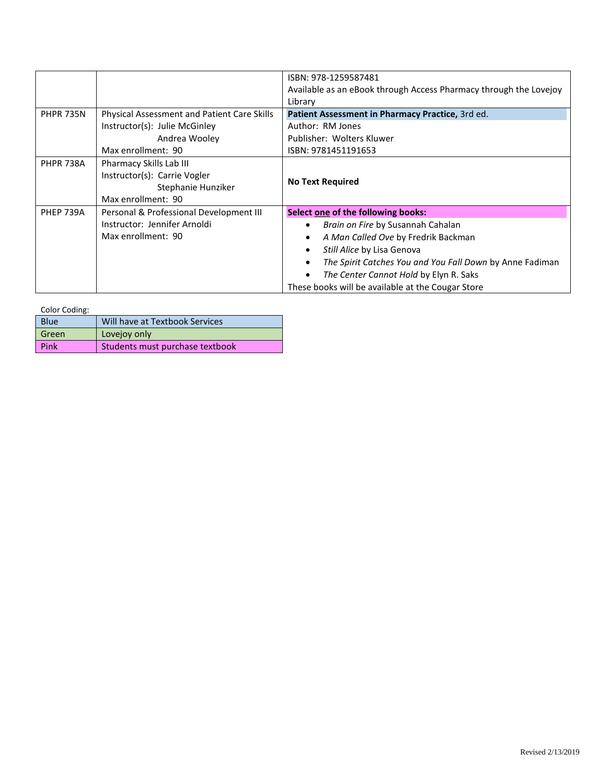|                  |                                                                                                     | ISBN: 978-1259587481                                              |
|------------------|-----------------------------------------------------------------------------------------------------|-------------------------------------------------------------------|
|                  |                                                                                                     | Available as an eBook through Access Pharmacy through the Lovejoy |
|                  |                                                                                                     | Library                                                           |
| <b>PHPR 735N</b> | Physical Assessment and Patient Care Skills                                                         | Patient Assessment in Pharmacy Practice, 3rd ed.                  |
|                  | Instructor(s): Julie McGinley                                                                       | Author: RM Jones                                                  |
|                  | Andrea Wooley                                                                                       | Publisher: Wolters Kluwer                                         |
|                  | Max enrollment: 90                                                                                  | ISBN: 9781451191653                                               |
| <b>PHPR 738A</b> | Pharmacy Skills Lab III<br>Instructor(s): Carrie Vogler<br>Stephanie Hunziker<br>Max enrollment: 90 | <b>No Text Required</b>                                           |
| <b>PHEP 739A</b> | Personal & Professional Development III                                                             | Select one of the following books:                                |
|                  | Instructor: Jennifer Arnoldi                                                                        | Brain on Fire by Susannah Cahalan                                 |
|                  | Max enrollment: 90                                                                                  | A Man Called Ove by Fredrik Backman                               |
|                  |                                                                                                     | Still Alice by Lisa Genova                                        |
|                  |                                                                                                     | The Spirit Catches You and You Fall Down by Anne Fadiman          |
|                  |                                                                                                     | The Center Cannot Hold by Elyn R. Saks                            |
|                  |                                                                                                     | These books will be available at the Cougar Store                 |

Color Coding:

| <b>Blue</b> | Will have at Textbook Services  |
|-------------|---------------------------------|
| Green       | Lovejoy only                    |
| Pink        | Students must purchase textbook |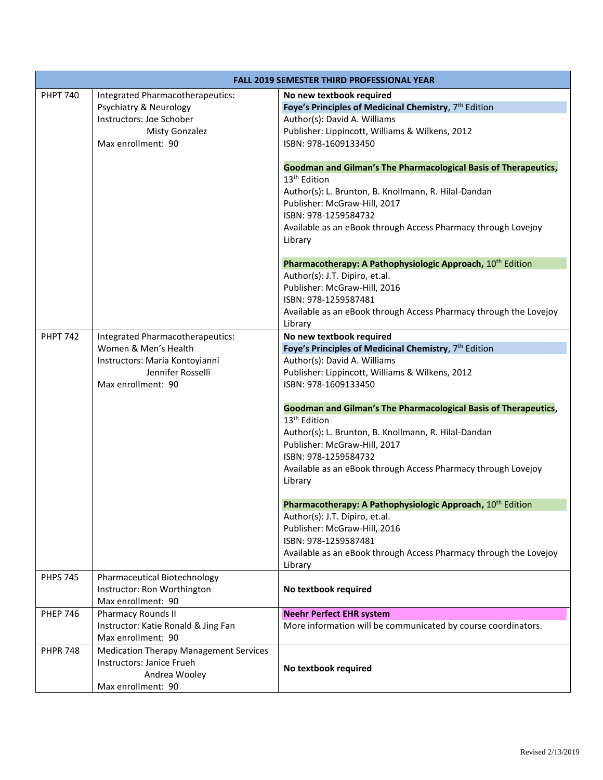| <b>FALL 2019 SEMESTER THIRD PROFESSIONAL YEAR</b> |                                               |                                                                        |
|---------------------------------------------------|-----------------------------------------------|------------------------------------------------------------------------|
| <b>PHPT 740</b>                                   | Integrated Pharmacotherapeutics:              | No new textbook required                                               |
|                                                   | Psychiatry & Neurology                        | Foye's Principles of Medicinal Chemistry, 7 <sup>th</sup> Edition      |
|                                                   | Instructors: Joe Schober                      | Author(s): David A. Williams                                           |
|                                                   | <b>Misty Gonzalez</b>                         | Publisher: Lippincott, Williams & Wilkens, 2012                        |
|                                                   | Max enrollment: 90                            | ISBN: 978-1609133450                                                   |
|                                                   |                                               | Goodman and Gilman's The Pharmacological Basis of Therapeutics,        |
|                                                   |                                               | 13 <sup>th</sup> Edition                                               |
|                                                   |                                               | Author(s): L. Brunton, B. Knollmann, R. Hilal-Dandan                   |
|                                                   |                                               | Publisher: McGraw-Hill, 2017                                           |
|                                                   |                                               | ISBN: 978-1259584732                                                   |
|                                                   |                                               | Available as an eBook through Access Pharmacy through Lovejoy          |
|                                                   |                                               | Library                                                                |
|                                                   |                                               |                                                                        |
|                                                   |                                               | Pharmacotherapy: A Pathophysiologic Approach, 10 <sup>th</sup> Edition |
|                                                   |                                               | Author(s): J.T. Dipiro, et.al.<br>Publisher: McGraw-Hill, 2016         |
|                                                   |                                               | ISBN: 978-1259587481                                                   |
|                                                   |                                               | Available as an eBook through Access Pharmacy through the Lovejoy      |
|                                                   |                                               | Library                                                                |
| <b>PHPT 742</b>                                   | Integrated Pharmacotherapeutics:              | No new textbook required                                               |
|                                                   | Women & Men's Health                          | Foye's Principles of Medicinal Chemistry, 7th Edition                  |
|                                                   | Instructors: Maria Kontoyianni                | Author(s): David A. Williams                                           |
|                                                   | Jennifer Rosselli                             | Publisher: Lippincott, Williams & Wilkens, 2012                        |
|                                                   | Max enrollment: 90                            | ISBN: 978-1609133450                                                   |
|                                                   |                                               | Goodman and Gilman's The Pharmacological Basis of Therapeutics,        |
|                                                   |                                               | 13 <sup>th</sup> Edition                                               |
|                                                   |                                               | Author(s): L. Brunton, B. Knollmann, R. Hilal-Dandan                   |
|                                                   |                                               | Publisher: McGraw-Hill, 2017                                           |
|                                                   |                                               | ISBN: 978-1259584732                                                   |
|                                                   |                                               | Available as an eBook through Access Pharmacy through Lovejoy          |
|                                                   |                                               | Library                                                                |
|                                                   |                                               |                                                                        |
|                                                   |                                               | Pharmacotherapy: A Pathophysiologic Approach, 10 <sup>th</sup> Edition |
|                                                   |                                               | Author(s): J.T. Dipiro, et.al.                                         |
|                                                   |                                               | Publisher: McGraw-Hill, 2016<br>ISBN: 978-1259587481                   |
|                                                   |                                               | Available as an eBook through Access Pharmacy through the Lovejoy      |
|                                                   |                                               | Library                                                                |
| <b>PHPS 745</b>                                   | Pharmaceutical Biotechnology                  |                                                                        |
|                                                   | Instructor: Ron Worthington                   | No textbook required                                                   |
|                                                   | Max enrollment: 90                            |                                                                        |
| <b>PHEP 746</b>                                   | <b>Pharmacy Rounds II</b>                     | <b>Neehr Perfect EHR system</b>                                        |
|                                                   | Instructor: Katie Ronald & Jing Fan           | More information will be communicated by course coordinators.          |
|                                                   | Max enrollment: 90                            |                                                                        |
| <b>PHPR 748</b>                                   | <b>Medication Therapy Management Services</b> |                                                                        |
|                                                   | Instructors: Janice Frueh<br>Andrea Wooley    | No textbook required                                                   |
|                                                   | Max enrollment: 90                            |                                                                        |
|                                                   |                                               |                                                                        |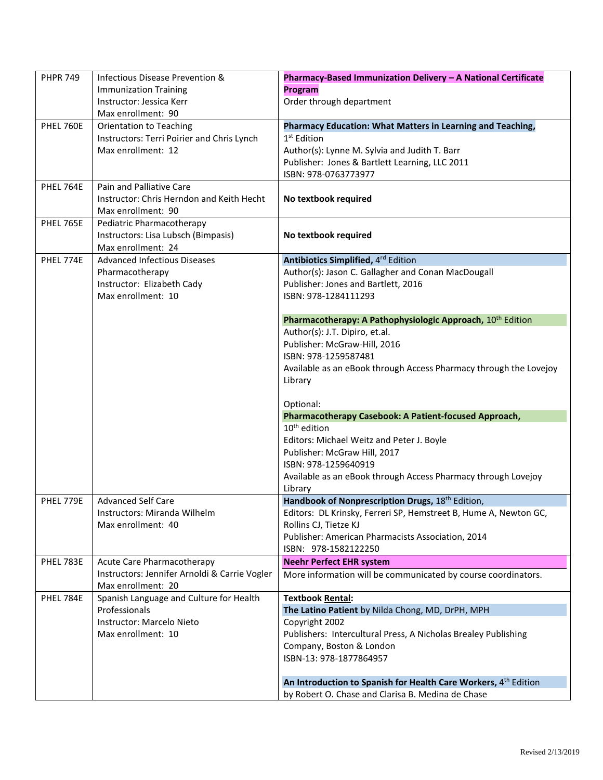| <b>PHPR 749</b>  | Infectious Disease Prevention &<br><b>Immunization Training</b>                                    | Pharmacy-Based Immunization Delivery - A National Certificate<br>Program<br>Order through department                                                                                                             |
|------------------|----------------------------------------------------------------------------------------------------|------------------------------------------------------------------------------------------------------------------------------------------------------------------------------------------------------------------|
|                  | Instructor: Jessica Kerr<br>Max enrollment: 90                                                     |                                                                                                                                                                                                                  |
| PHEL 760E        | <b>Orientation to Teaching</b><br>Instructors: Terri Poirier and Chris Lynch<br>Max enrollment: 12 | Pharmacy Education: What Matters in Learning and Teaching,<br>1 <sup>st</sup> Edition<br>Author(s): Lynne M. Sylvia and Judith T. Barr<br>Publisher: Jones & Bartlett Learning, LLC 2011<br>ISBN: 978-0763773977 |
| PHEL 764E        | Pain and Palliative Care<br>Instructor: Chris Herndon and Keith Hecht<br>Max enrollment: 90        | No textbook required                                                                                                                                                                                             |
| <b>PHEL 765E</b> | Pediatric Pharmacotherapy<br>Instructors: Lisa Lubsch (Bimpasis)<br>Max enrollment: 24             | No textbook required                                                                                                                                                                                             |
| PHEL 774E        | <b>Advanced Infectious Diseases</b>                                                                | Antibiotics Simplified, 4rd Edition                                                                                                                                                                              |
|                  | Pharmacotherapy                                                                                    | Author(s): Jason C. Gallagher and Conan MacDougall                                                                                                                                                               |
|                  | Instructor: Elizabeth Cady                                                                         | Publisher: Jones and Bartlett, 2016                                                                                                                                                                              |
|                  | Max enrollment: 10                                                                                 | ISBN: 978-1284111293                                                                                                                                                                                             |
|                  |                                                                                                    | Pharmacotherapy: A Pathophysiologic Approach, 10 <sup>th</sup> Edition                                                                                                                                           |
|                  |                                                                                                    | Author(s): J.T. Dipiro, et.al.                                                                                                                                                                                   |
|                  |                                                                                                    | Publisher: McGraw-Hill, 2016                                                                                                                                                                                     |
|                  |                                                                                                    | ISBN: 978-1259587481                                                                                                                                                                                             |
|                  |                                                                                                    | Available as an eBook through Access Pharmacy through the Lovejoy                                                                                                                                                |
|                  |                                                                                                    | Library                                                                                                                                                                                                          |
|                  |                                                                                                    | Optional:                                                                                                                                                                                                        |
|                  |                                                                                                    | Pharmacotherapy Casebook: A Patient-focused Approach,                                                                                                                                                            |
|                  |                                                                                                    | $10th$ edition                                                                                                                                                                                                   |
|                  |                                                                                                    | Editors: Michael Weitz and Peter J. Boyle                                                                                                                                                                        |
|                  |                                                                                                    | Publisher: McGraw Hill, 2017                                                                                                                                                                                     |
|                  |                                                                                                    | ISBN: 978-1259640919                                                                                                                                                                                             |
|                  |                                                                                                    | Available as an eBook through Access Pharmacy through Lovejoy                                                                                                                                                    |
|                  |                                                                                                    | Library                                                                                                                                                                                                          |
| PHEL 779E        | <b>Advanced Self Care</b>                                                                          | Handbook of Nonprescription Drugs, 18th Edition,                                                                                                                                                                 |
|                  | Instructors: Miranda Wilhelm                                                                       | Editors: DL Krinsky, Ferreri SP, Hemstreet B, Hume A, Newton GC,                                                                                                                                                 |
|                  | Max enrollment: 40                                                                                 | Rollins CJ, Tietze KJ                                                                                                                                                                                            |
|                  |                                                                                                    | Publisher: American Pharmacists Association, 2014                                                                                                                                                                |
|                  |                                                                                                    | ISBN: 978-1582122250                                                                                                                                                                                             |
| PHEL 783E        | Acute Care Pharmacotherapy                                                                         | <b>Neehr Perfect EHR system</b>                                                                                                                                                                                  |
|                  | Instructors: Jennifer Arnoldi & Carrie Vogler<br>Max enrollment: 20                                | More information will be communicated by course coordinators.                                                                                                                                                    |
| PHEL 784E        | Spanish Language and Culture for Health                                                            | <b>Textbook Rental:</b>                                                                                                                                                                                          |
|                  | Professionals                                                                                      | The Latino Patient by Nilda Chong, MD, DrPH, MPH                                                                                                                                                                 |
|                  | Instructor: Marcelo Nieto                                                                          | Copyright 2002                                                                                                                                                                                                   |
|                  | Max enrollment: 10                                                                                 | Publishers: Intercultural Press, A Nicholas Brealey Publishing                                                                                                                                                   |
|                  |                                                                                                    | Company, Boston & London                                                                                                                                                                                         |
|                  |                                                                                                    | ISBN-13: 978-1877864957                                                                                                                                                                                          |
|                  |                                                                                                    | An Introduction to Spanish for Health Care Workers, 4th Edition                                                                                                                                                  |
|                  |                                                                                                    | by Robert O. Chase and Clarisa B. Medina de Chase                                                                                                                                                                |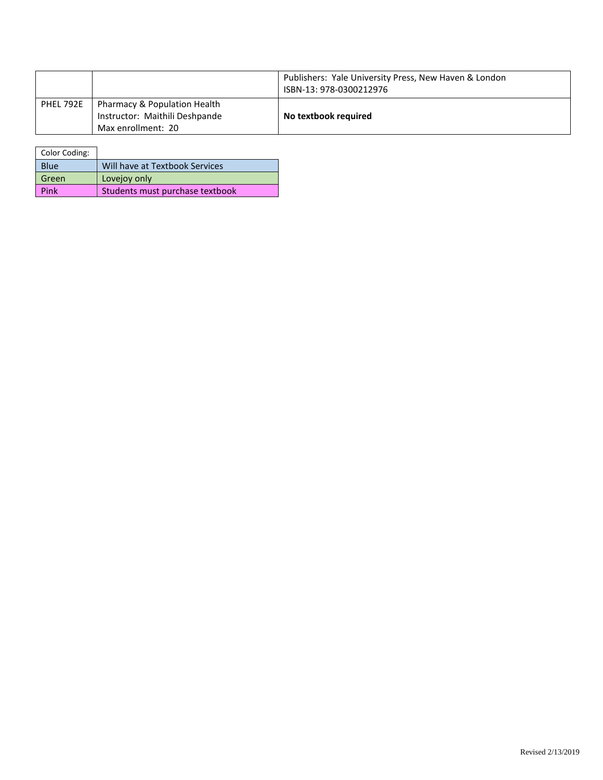|           |                                                                                                 | Publishers: Yale University Press, New Haven & London<br>ISBN-13: 978-0300212976 |
|-----------|-------------------------------------------------------------------------------------------------|----------------------------------------------------------------------------------|
| PHEL 792E | <b>Pharmacy &amp; Population Health</b><br>Instructor: Maithili Deshpande<br>Max enrollment: 20 | No textbook required                                                             |

| Color Coding: |                                 |
|---------------|---------------------------------|
| <b>Blue</b>   | Will have at Textbook Services  |
| Green         | Lovejoy only                    |
| Pink          | Students must purchase textbook |